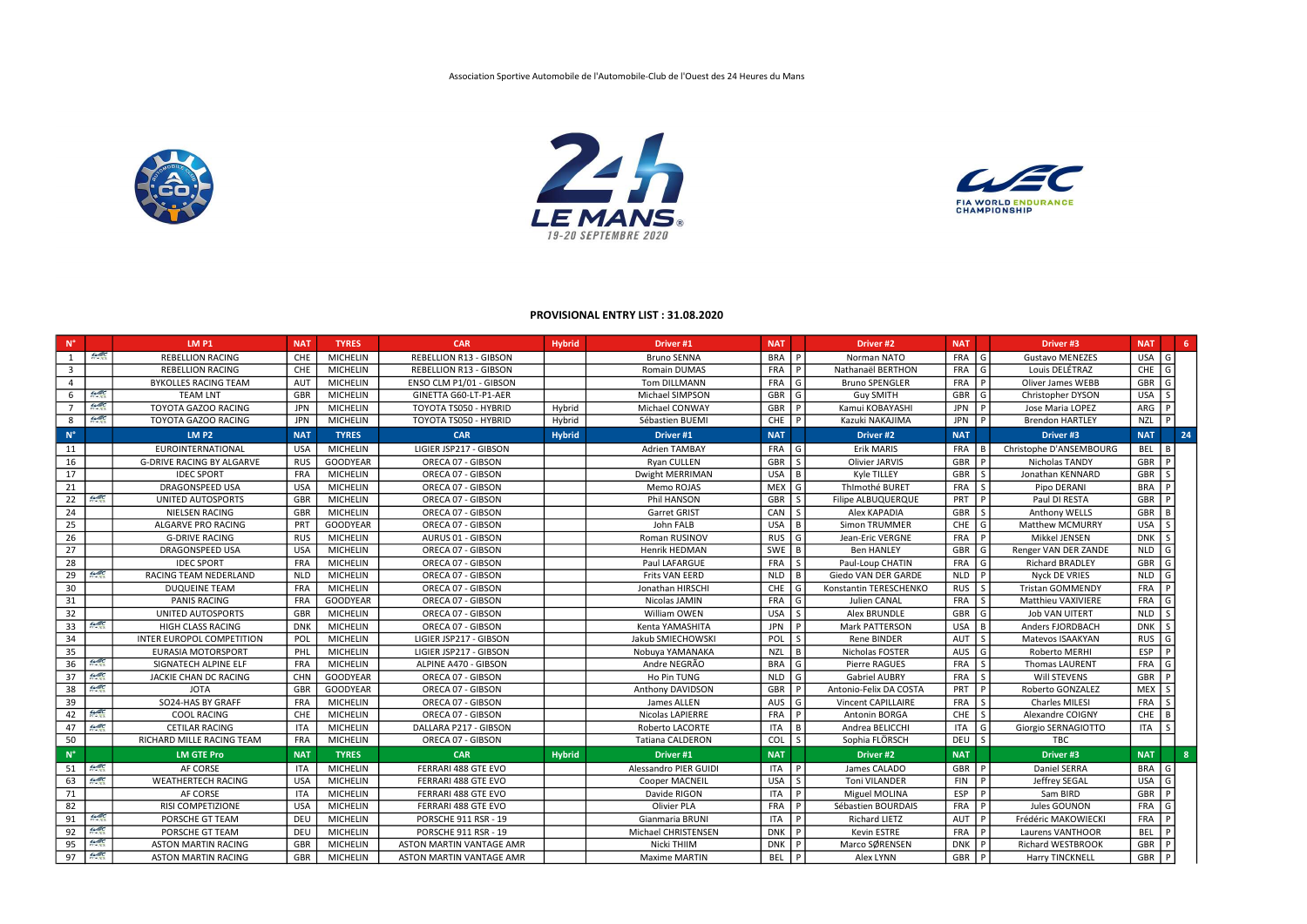| $N^{\circ}$             |               | <b>LM P1</b>                     | <b>NAT</b> | <b>TYRES</b>    | <b>CAR</b>                      | <b>Hybrid</b> | Driver <sub>#1</sub>    | <b>NAT</b> |     | Driver #2                 | <b>NAT</b>  |             | Driver <sub>#3</sub>      | <b>NAT</b> | 6   |
|-------------------------|---------------|----------------------------------|------------|-----------------|---------------------------------|---------------|-------------------------|------------|-----|---------------------------|-------------|-------------|---------------------------|------------|-----|
| 1                       | $\mu$ EC      | <b>REBELLION RACING</b>          | <b>CHE</b> | <b>MICHELIN</b> | <b>REBELLION R13 - GIBSON</b>   |               | <b>Bruno SENNA</b>      | BRA        |     | Norman NATO               | <b>FRA</b>  | G           | <b>Gustavo MENEZES</b>    | <b>USA</b> | G   |
| $\overline{\mathbf{3}}$ |               | <b>REBELLION RACING</b>          | <b>CHE</b> | <b>MICHELIN</b> | <b>REBELLION R13 - GIBSON</b>   |               | Romain DUMAS            | <b>FRA</b> |     | Nathanaël BERTHON         | FRA         | G           | Louis DELÉTRAZ            | CHE        | G   |
| $\overline{4}$          |               | <b>BYKOLLES RACING TEAM</b>      | <b>AUT</b> | <b>MICHELIN</b> | ENSO CLM P1/01 - GIBSON         |               | Tom DILLMANN            | <b>FRA</b> | l G | <b>Bruno SPENGLER</b>     | FRA         | P           | <b>Oliver James WEBB</b>  | GBR        | G   |
| 6                       | $\mu$ EC      | <b>TEAM LNT</b>                  | <b>GBR</b> | <b>MICHELIN</b> | GINETTA G60-LT-P1-AER           |               | Michael SIMPSON         | GBR        | l G | <b>Guy SMITH</b>          | <b>GBR</b>  | G           | Christopher DYSON         | <b>USA</b> |     |
| $\overline{7}$          | $\mu$ ec      | <b>TOYOTA GAZOO RACING</b>       | <b>JPN</b> | <b>MICHELIN</b> | TOYOTA TS050 - HYBRID           | Hybrid        | Michael CONWAY          | GBR        |     | Kamui KOBAYASHI           | <b>JPN</b>  | P.          | Jose Maria LOPEZ          | ARG        | - P |
| 8                       | $\mu$ ec      | TOYOTA GAZOO RACING              | <b>JPN</b> | <b>MICHELIN</b> | TOYOTA TS050 - HYBRID           | Hybrid        | Sébastien BUEMI         | <b>CHE</b> |     | Kazuki NAKAJIMA           | JPN         |             | <b>Brendon HARTLEY</b>    | <b>NZL</b> |     |
| $\mathsf{N}^\circ$      |               | LM P2                            | <b>NAT</b> | <b>TYRES</b>    | <b>CAR</b>                      | <b>Hybrid</b> | Driver #1               | <b>NAT</b> |     | Driver #2                 | <b>NAT</b>  |             | Driver #3                 | <b>NAT</b> | 24  |
| 11                      |               | <b>EUROINTERNATIONAL</b>         | <b>USA</b> | <b>MICHELIN</b> | LIGIER JSP217 - GIBSON          |               | <b>Adrien TAMBAY</b>    | <b>FRA</b> | l G | Erik MARIS                | <b>FRA</b>  |             | Christophe D'ANSEMBOURG   | BEL        |     |
| 16                      |               | <b>G-DRIVE RACING BY ALGARVE</b> | <b>RUS</b> | <b>GOODYEAR</b> | ORECA 07 - GIBSON               |               | Ryan CULLEN             | <b>GBR</b> | l S | <b>Olivier JARVIS</b>     | <b>GBR</b>  |             | Nicholas TANDY            | <b>GBR</b> |     |
| 17                      |               | <b>IDEC SPORT</b>                | <b>FRA</b> | <b>MICHELIN</b> | ORECA 07 - GIBSON               |               | Dwight MERRIMAN         | <b>USA</b> | l B | Kyle TILLEY               | <b>GBR</b>  |             | Jonathan KENNARD          | GBR        |     |
| 21                      |               | <b>DRAGONSPEED USA</b>           | <b>USA</b> | <b>MICHELIN</b> | ORECA 07 - GIBSON               |               | Memo ROJAS              | <b>MEX</b> | l G | ThImothé BURET            | FRA         | -S          | Pipo DERANI               | <b>BRA</b> |     |
| 22                      | $\mu$ EC      | <b>UNITED AUTOSPORTS</b>         | GBR        | <b>MICHELIN</b> | ORECA 07 - GIBSON               |               | Phil HANSON             | <b>GBR</b> |     | <b>Filipe ALBUQUERQUE</b> | PRT         |             | Paul DI RESTA             | <b>GBR</b> |     |
| 24                      |               | <b>NIELSEN RACING</b>            | <b>GBR</b> | <b>MICHELIN</b> | ORECA 07 - GIBSON               |               | <b>Garret GRIST</b>     | CAN        |     | Alex KAPADIA              | <b>GBR</b>  |             | Anthony WELLS             | GBR        |     |
| 25                      |               | ALGARVE PRO RACING               | PRT        | <b>GOODYEAR</b> | ORECA 07 - GIBSON               |               | John FALB               | <b>USA</b> | - B | <b>Simon TRUMMER</b>      | <b>CHE</b>  | G           | <b>Matthew MCMURRY</b>    | <b>USA</b> |     |
| 26                      |               | <b>G-DRIVE RACING</b>            | <b>RUS</b> | <b>MICHELIN</b> | <b>AURUS 01 - GIBSON</b>        |               | Roman RUSINOV           | <b>RUS</b> | G   | Jean-Eric VERGNE          | <b>FRA</b>  |             | Mikkel JENSEN             | <b>DNK</b> |     |
| 27                      |               | <b>DRAGONSPEED USA</b>           | <b>USA</b> | <b>MICHELIN</b> | ORECA 07 - GIBSON               |               | Henrik HEDMAN           | SWE        | ΙB  | <b>Ben HANLEY</b>         | <b>GBR</b>  | G           | Renger VAN DER ZANDE      | <b>NLD</b> |     |
| 28                      |               | <b>IDEC SPORT</b>                | <b>FRA</b> | <b>MICHELIN</b> | ORECA 07 - GIBSON               |               | Paul LAFARGUE           | <b>FRA</b> | -S  | Paul-Loup CHATIN          | FRA         | G           | <b>Richard BRADLEY</b>    | GBR        |     |
| 29                      | $\mathscr{L}$ | RACING TEAM NEDERLAND            | <b>NLD</b> | <b>MICHELIN</b> | ORECA 07 - GIBSON               |               | <b>Frits VAN EERD</b>   | <b>NLD</b> | Iв  | Giedo VAN DER GARDE       | <b>NLD</b>  | P           | Nyck DE VRIES             | <b>NLD</b> |     |
| 30                      |               | <b>DUQUEINE TEAM</b>             | <b>FRA</b> | <b>MICHELIN</b> | ORECA 07 - GIBSON               |               | Jonathan HIRSCHI        | CHE        | l G | Konstantin TERESCHENKO    | <b>RUS</b>  | -S          | <b>Tristan GOMMENDY</b>   | <b>FRA</b> |     |
| 31                      |               | <b>PANIS RACING</b>              | <b>FRA</b> | <b>GOODYEAR</b> | ORECA 07 - GIBSON               |               | Nicolas JAMIN           | FRA        | l G | Julien CANAL              | FRA         | l s         | <b>Matthieu VAXIVIERE</b> | FRA        |     |
| 32                      |               | UNITED AUTOSPORTS                | <b>GBR</b> | <b>MICHELIN</b> | ORECA 07 - GIBSON               |               | William OWEN            | <b>USA</b> | l s | Alex BRUNDLE              | GBR         | G           | <b>Job VAN UITERT</b>     | <b>NLD</b> |     |
| 33                      | $\mu$ EC      | HIGH CLASS RACING                | <b>DNK</b> | <b>MICHELIN</b> | ORECA 07 - GIBSON               |               | Kenta YAMASHITA         | <b>JPN</b> |     | <b>Mark PATTERSON</b>     | <b>USA</b>  | B           | Anders FJORDBACH          | DNK        |     |
| 34                      |               | INTER EUROPOL COMPETITION        | POL        | <b>MICHELIN</b> | LIGIER JSP217 - GIBSON          |               | Jakub SMIECHOWSKI       | <b>POL</b> | l S | Rene BINDER               | <b>AUT</b>  | -S          | Matevos ISAAKYAN          | <b>RUS</b> |     |
| 35                      |               | <b>EURASIA MOTORSPORT</b>        | PHL        | <b>MICHELIN</b> | LIGIER JSP217 - GIBSON          |               | Nobuya YAMANAKA         | <b>NZL</b> | l B | Nicholas FOSTER           | AUS $ G $   |             | Roberto MERHI             | <b>ESP</b> |     |
| 36                      | $\mu$ EC      | SIGNATECH ALPINE ELF             | <b>FRA</b> | <b>MICHELIN</b> | ALPINE A470 - GIBSON            |               | Andre NEGRÃO            | <b>BRA</b> | l G | Pierre RAGUES             | FRA         | -S          | <b>Thomas LAURENT</b>     | <b>FRA</b> | G   |
| 37                      | $\mu$ ec      | JACKIE CHAN DC RACING            | <b>CHN</b> | <b>GOODYEAR</b> | ORECA 07 - GIBSON               |               | Ho Pin TUNG             | <b>NLD</b> | l G | <b>Gabriel AUBRY</b>      | FRA         | $\varsigma$ | Will STEVENS              | GBR        |     |
| 38                      | $\mu$ EC      | <b>JOTA</b>                      | <b>GBR</b> | <b>GOODYEAR</b> | ORECA 07 - GIBSON               |               | Anthony DAVIDSON        | <b>GBR</b> |     | Antonio-Felix DA COSTA    | PRT         |             | Roberto GONZALEZ          | <b>MEX</b> |     |
| 39                      |               | SO24-HAS BY GRAFF                | <b>FRA</b> | <b>MICHELIN</b> | ORECA 07 - GIBSON               |               | James ALLEN             | AUS        | G   | <b>Vincent CAPILLAIRE</b> | FRA         | -S          | <b>Charles MILESI</b>     | <b>FRA</b> |     |
| 42                      | $\mu$ EC      | <b>COOL RACING</b>               | CHE        | <b>MICHELIN</b> | ORECA 07 - GIBSON               |               | <b>Nicolas LAPIERRE</b> | <b>FRA</b> |     | Antonin BORGA             | <b>CHE</b>  | -S          | Alexandre COIGNY          | <b>CHE</b> |     |
| 47                      | $\mu$ EC      | <b>CETILAR RACING</b>            | <b>ITA</b> | <b>MICHELIN</b> | DALLARA P217 - GIBSON           |               | <b>Roberto LACORTE</b>  | <b>ITA</b> | l B | Andrea BELICCHI           | <b>ITA</b>  | G           | Giorgio SERNAGIOTTO       | ITA        |     |
| 50                      |               | RICHARD MILLE RACING TEAM        | <b>FRA</b> | <b>MICHELIN</b> | ORECA 07 - GIBSON               |               | <b>Tatiana CALDERON</b> | <b>COL</b> |     | Sophia FLÖRSCH            | DEU         |             | TBC                       |            |     |
| $N^{\circ}$             |               | <b>LM GTE Pro</b>                | <b>NAT</b> | <b>TYRES</b>    | <b>CAR</b>                      | <b>Hybrid</b> | Driver #1               | <b>NAT</b> |     | Driver #2                 | <b>NAT</b>  |             | Driver #3                 | <b>NAT</b> | -8  |
| 51                      | $\mu$ EC      | AF CORSE                         | <b>ITA</b> | <b>MICHELIN</b> | FERRARI 488 GTE EVO             |               | Alessandro PIER GUIDI   | ITA        |     | James CALADO              | GBR         |             | Daniel SERRA              | <b>BRA</b> | G   |
| 63                      | $\mu$ EC      | <b>WEATHERTECH RACING</b>        | <b>USA</b> | <b>MICHELIN</b> | FERRARI 488 GTE EVO             |               | <b>Cooper MACNEIL</b>   | <b>USA</b> |     | <b>Toni VILANDER</b>      | <b>FIN</b>  |             | Jeffrey SEGAL             | <b>USA</b> |     |
| 71                      |               | AF CORSE                         | <b>ITA</b> | <b>MICHELIN</b> | FERRARI 488 GTE EVO             |               | Davide RIGON            | <b>ITA</b> |     | Miguel MOLINA             | ESP         |             | Sam BIRD                  | <b>GBR</b> |     |
| 82                      |               | <b>RISI COMPETIZIONE</b>         | <b>USA</b> | <b>MICHELIN</b> | FERRARI 488 GTE EVO             |               | <b>Olivier PLA</b>      | <b>FRA</b> |     | Sébastien BOURDAIS        | <b>FRA</b>  |             | Jules GOUNON              | <b>FRA</b> |     |
| 91                      | $C = C$       | PORSCHE GT TEAM                  | DEU        | <b>MICHELIN</b> | <b>PORSCHE 911 RSR - 19</b>     |               | Gianmaria BRUNI         | <b>ITA</b> |     | <b>Richard LIETZ</b>      | <b>AUT</b>  |             | Frédéric MAKOWIECKI       | <b>FRA</b> |     |
| 92                      | $\mu \in C$   | PORSCHE GT TEAM                  | DEU        | <b>MICHELIN</b> | PORSCHE 911 RSR - 19            |               | Michael CHRISTENSEN     | <b>DNK</b> |     | Kevin ESTRE               | FRA         |             | Laurens VANTHOOR          | <b>BEL</b> |     |
| 95                      | $\mu$ EC      | <b>ASTON MARTIN RACING</b>       | <b>GBR</b> | <b>MICHELIN</b> | <b>ASTON MARTIN VANTAGE AMR</b> |               | Nicki THIIM             | DNK        | ΙP  | Marco SØRENSEN            | DNK         | P.          | Richard WESTBROOK         | GBR        | ΙP  |
| 97                      | $\mu$ ec      | <b>ASTON MARTIN RACING</b>       | <b>GBR</b> | <b>MICHELIN</b> | ASTON MARTIN VANTAGE AMR        |               | <b>Maxime MARTIN</b>    | <b>BEL</b> | l P | Alex LYNN                 | $GBR$   $P$ |             | <b>Harry TINCKNELL</b>    | GBR P      |     |



## PROVISIONAL ENTRY LIST : 31.08.2020